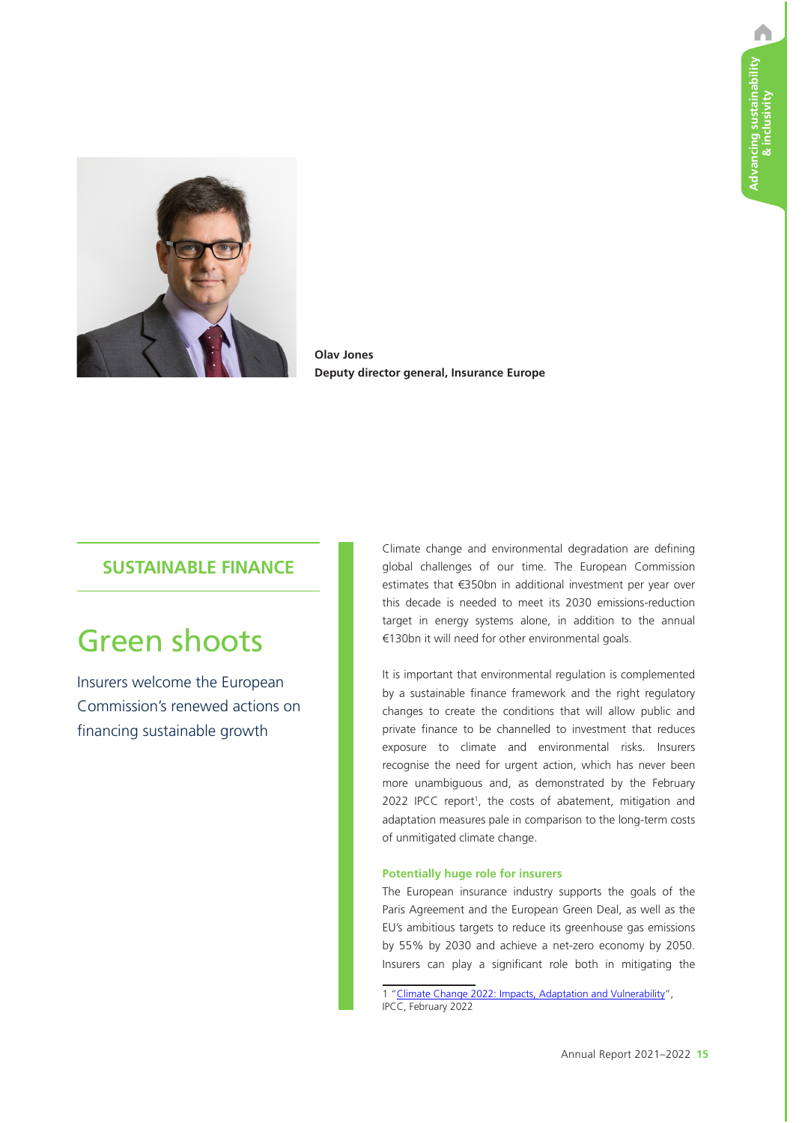A



**Olav Jones Deputy director general, Insurance Europe**

# **SUSTAINABLE FINANCE**

# Green shoots

Insurers welcome the European Commission's renewed actions on financing sustainable growth

Climate change and environmental degradation are defining global challenges of our time. The European Commission estimates that €350bn in additional investment per year over this decade is needed to meet its 2030 emissions-reduction target in energy systems alone, in addition to the annual €130bn it will need for other environmental goals.

It is important that environmental regulation is complemented by a sustainable finance framework and the right regulatory changes to create the conditions that will allow public and private finance to be channelled to investment that reduces exposure to climate and environmental risks. Insurers recognise the need for urgent action, which has never been more unambiguous and, as demonstrated by the February 2022 IPCC report<sup>1</sup>, the costs of abatement, mitigation and adaptation measures pale in comparison to the long-term costs of unmitigated climate change.

## **Potentially huge role for insurers**

The European insurance industry supports the goals of the Paris Agreement and the European Green Deal, as well as the EU's ambitious targets to reduce its greenhouse gas emissions by 55% by 2030 and achieve a net-zero economy by 2050. Insurers can play a significant role both in mitigating the

1 "Climate Change 2022: Impacts, Adaptation and Vulnerability", IPCC, February 2022